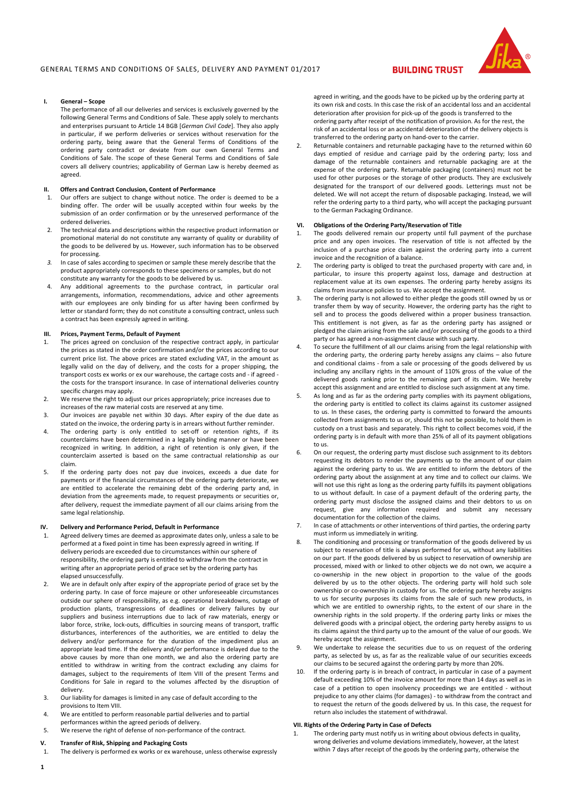

### **I. General – Scope**

The performance of all our deliveries and services is exclusively governed by the following General Terms and Conditions of Sale. These apply solely to merchants and enterprises pursuant to Article 14 BGB [*German Civil Code*]. They also apply in particular, if we perform deliveries or services without reservation for the ordering party, being aware that the General Terms of Conditions of the ordering party contradict or deviate from our own General Terms and Conditions of Sale. The scope of these General Terms and Conditions of Sale covers all delivery countries; applicability of German Law is hereby deemed as agreed.

#### **Offers and Contract Conclusion, Content of Performance**

- Our offers are subject to change without notice. The order is deemed to be a binding offer. The order will be usually accepted within four weeks by the submission of an order confirmation or by the unreserved performance of the ordered deliveries.
- 2. The technical data and descriptions within the respective product information or promotional material do not constitute any warranty of quality or durability of the goods to be delivered by us. However, such information has to be observed for processing.
- *3.* In case of sales according to specimen or sample these merely describe that the product appropriately corresponds to these specimens or samples, but do not constitute any warranty for the goods to be delivered by us.
- 4. Any additional agreements to the purchase contract, in particular oral arrangements, information, recommendations, advice and other agreements with our employees are only binding for us after having been confirmed by letter or standard form; they do not constitute a consulting contract, unless such a contract has been expressly agreed in writing.

### **III. Prices, Payment Terms, Default of Payment**

- 1. The prices agreed on conclusion of the respective contract apply, in particular the prices as stated in the order confirmation and/or the prices according to our current price list. The above prices are stated excluding VAT, in the amount as legally valid on the day of delivery, and the costs for a proper shipping, the transport costs ex works or ex our warehouse, the cartage costs and - if agreed the costs for the transport insurance. In case of international deliveries country specific charges may apply.
- 2. We reserve the right to adjust our prices appropriately; price increases due to increases of the raw material costs are reserved at any time.
- 3. Our invoices are payable net within 30 days. After expiry of the due date as stated on the invoice, the ordering party is in arrears without further reminder.
- 4. The ordering party is only entitled to set-off or retention rights, if its counterclaims have been determined in a legally binding manner or have been recognized in writing. In addition, a right of retention is only given, if the counterclaim asserted is based on the same contractual relationship as our claim.
- 5. If the ordering party does not pay due invoices, exceeds a due date for payments or if the financial circumstances of the ordering party deteriorate, we are entitled to accelerate the remaining debt of the ordering party and, in deviation from the agreements made, to request prepayments or securities or, after delivery, request the immediate payment of all our claims arising from the same legal relationship.

#### **IV. Delivery and Performance Period, Default in Performance**

- 1. Agreed delivery times are deemed as approximate dates only, unless a sale to be performed at a fixed point in time has been expressly agreed in writing. If delivery periods are exceeded due to circumstances within our sphere of responsibility, the ordering party is entitled to withdraw from the contract in writing after an appropriate period of grace set by the ordering party has elapsed unsuccessfully.
- 2. We are in default only after expiry of the appropriate period of grace set by the ordering party. In case of force majeure or other unforeseeable circumstances outside our sphere of responsibility, as e.g. operational breakdowns, outage of production plants, transgressions of deadlines or delivery failures by our suppliers and business interruptions due to lack of raw materials, energy or labor force, strike, lock-outs, difficulties in sourcing means of transport, traffic disturbances, interferences of the authorities, we are entitled to delay the delivery and/or performance for the duration of the impediment plus an appropriate lead time. If the delivery and/or performance is delayed due to the above causes by more than one month, we and also the ordering party are entitled to withdraw in writing from the contract excluding any claims for damages, subject to the requirements of Item VIII of the present Terms and Conditions for Sale in regard to the volumes affected by the disruption of delivery.
- 3. Our liability for damages is limited in any case of default according to the provisions to Item VIII.
- 4. We are entitled to perform reasonable partial deliveries and to partial performances within the agreed periods of delivery.
- 5. We reserve the right of defense of non-performance of the contract.

# **V. Transfer of Risk, Shipping and Packaging Costs**

1. The delivery is performed ex works or ex warehouse, unless otherwise expressly

agreed in writing, and the goods have to be picked up by the ordering party at its own risk and costs. In this case the risk of an accidental loss and an accidental deterioration after provision for pick-up of the goods is transferred to the ordering party after receipt of the notification of provision. As for the rest, the risk of an accidental loss or an accidental deterioration of the delivery objects is transferred to the ordering party on hand-over to the carrier.

**BUILDING TRUST** 

2. Returnable containers and returnable packaging have to the returned within 60 days emptied of residue and carriage paid by the ordering party; loss and damage of the returnable containers and returnable packaging are at the expense of the ordering party. Returnable packaging (containers) must not be used for other purposes or the storage of other products. They are exclusively designated for the transport of our delivered goods. Letterings must not be deleted. We will not accept the return of disposable packaging. Instead, we will refer the ordering party to a third party, who will accept the packaging pursuant to the German Packaging Ordinance.

## **VI. Obligations of the Ordering Party/Reservation of Title**

- 1. The goods delivered remain our property until full payment of the purchase price and any open invoices. The reservation of title is not affected by the inclusion of a purchase price claim against the ordering party into a current invoice and the recognition of a balance.
- 2. The ordering party is obliged to treat the purchased property with care and, in particular, to insure this property against loss, damage and destruction at replacement value at its own expenses. The ordering party hereby assigns its claims from insurance policies to us. We accept the assignment.
- 3. The ordering party is not allowed to either pledge the goods still owned by us or transfer them by way of security. However, the ordering party has the right to sell and to process the goods delivered within a proper business transaction. This entitlement is not given, as far as the ordering party has assigned or pledged the claim arising from the sale and/or processing of the goods to a third party or has agreed a non-assignment clause with such party.
- 4. To secure the fulfillment of all our claims arising from the legal relationship with the ordering party, the ordering party hereby assigns any claims – also future and conditional claims - from a sale or processing of the goods delivered by us including any ancillary rights in the amount of 110% gross of the value of the delivered goods ranking prior to the remaining part of its claim. We hereby accept this assignment and are entitled to disclose such assignment at any time.
- 5. As long and as far as the ordering party complies with its payment obligations, the ordering party is entitled to collect its claims against its customer assigned to us. In these cases, the ordering party is committed to forward the amounts collected from assignments to us or, should this not be possible, to hold them in custody on a trust basis and separately. This right to collect becomes void, if the ordering party is in default with more than 25% of all of its payment obligations to us.
- 6. On our request, the ordering party must disclose such assignment to its debtors requesting its debtors to render the payments up to the amount of our claim against the ordering party to us. We are entitled to inform the debtors of the ordering party about the assignment at any time and to collect our claims. We will not use this right as long as the ordering party fulfills its payment obligations to us without default. In case of a payment default of the ordering party, the ordering party must disclose the assigned claims and their debtors to us on request, give any information required and submit any necessary documentation for the collection of the claims.
- 7. In case of attachments or other interventions of third parties, the ordering party must inform us immediately in writing.
- 8. The conditioning and processing or transformation of the goods delivered by us subject to reservation of title is always performed for us, without any liabilities on our part. If the goods delivered by us subject to reservation of ownership are processed, mixed with or linked to other objects we do not own, we acquire a co-ownership in the new object in proportion to the value of the goods delivered by us to the other objects. The ordering party will hold such sole ownership or co-ownership in custody for us. The ordering party hereby assigns to us for security purposes its claims from the sale of such new products, in which we are entitled to ownership rights, to the extent of our share in the ownership rights in the sold property. If the ordering party links or mixes the delivered goods with a principal object, the ordering party hereby assigns to us its claims against the third party up to the amount of the value of our goods. We hereby accept the assignment.
- We undertake to release the securities due to us on request of the ordering party, as selected by us, as far as the realizable value of our securities exceeds our claims to be secured against the ordering party by more than 20%.
- 10. If the ordering party is in breach of contract, in particular in case of a payment default exceeding 10% of the invoice amount for more than 14 days as well as in case of a petition to open insolvency proceedings we are entitled - without prejudice to any other claims (for damages) - to withdraw from the contract and to request the return of the goods delivered by us. In this case, the request for return also includes the statement of withdrawal.

## **VII. Rights of the Ordering Party in Case of Defects**

The ordering party must notify us in writing about obvious defects in quality, wrong deliveries and volume deviations immediately, however, at the latest within 7 days after receipt of the goods by the ordering party, otherwise the